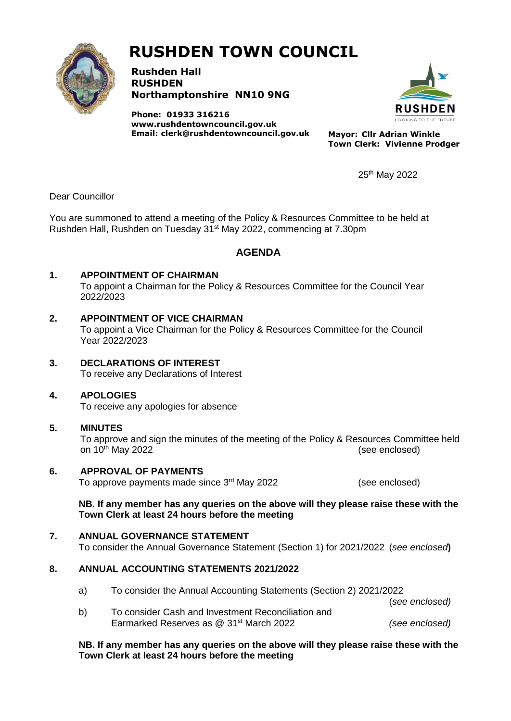

# **RUSHDEN TOWN COUNCIL**

**Rushden Hall RUSHDEN Northamptonshire NN10 9NG**

**Phone: 01933 316216 [www.rushdentowncouncil.gov.uk](http://www.rushdentowncouncil.gov.uk/) Email: clerk@rushdentowncouncil.gov.uk Mayor: Cllr Adrian Winkle**



**Town Clerk: Vivienne Prodger**

25th May 2022

Dear Councillor

You are summoned to attend a meeting of the Policy & Resources Committee to be held at Rushden Hall, Rushden on Tuesday 31st May 2022, commencing at 7.30pm

# **AGENDA**

# **1. APPOINTMENT OF CHAIRMAN**

To appoint a Chairman for the Policy & Resources Committee for the Council Year 2022/2023

## **2. APPOINTMENT OF VICE CHAIRMAN**

To appoint a Vice Chairman for the Policy & Resources Committee for the Council Year 2022/2023

**3. DECLARATIONS OF INTEREST** To receive any Declarations of Interest

# **4. APOLOGIES**

To receive any apologies for absence

## **5. MINUTES**

To approve and sign the minutes of the meeting of the Policy & Resources Committee held on 10<sup>th</sup> May 2022 **(See enclosed) (See enclosed)** 

## **6. APPROVAL OF PAYMENTS**

To approve payments made since 3rd May 2022

(see enclosed)

**NB. If any member has any queries on the above will they please raise these with the Town Clerk at least 24 hours before the meeting**

**7. ANNUAL GOVERNANCE STATEMENT** To consider the Annual Governance Statement (Section 1) for 2021/2022 (*see enclosed***)**

# **8. ANNUAL ACCOUNTING STATEMENTS 2021/2022**

- a) To consider the Annual Accounting Statements (Section 2) 2021/2022
- (*see enclosed)* b) To consider Cash and Investment Reconciliation and Earmarked Reserves as @ 31st March 2022 *(see enclosed)*

#### **NB. If any member has any queries on the above will they please raise these with the Town Clerk at least 24 hours before the meeting**